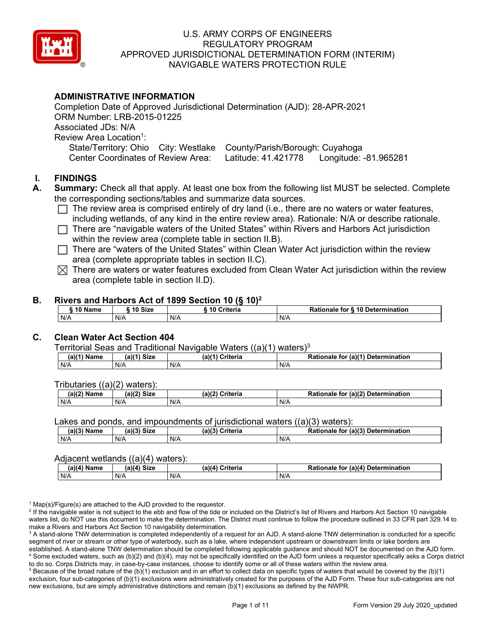

# **ADMINISTRATIVE INFORMATION**

Completion Date of Approved Jurisdictional Determination (AJD): 28-APR-2021 ORM Number: LRB-2015-01225 Associated JDs: N/A Review Area Location<sup>1</sup>: State/Territory: Ohio City: Westlake County/Parish/Borough: Cuyahoga Center Coordinates of Review Area: Latitude: 41.421778 Longitude: -81.965281

# **I. FINDINGS**

- **A. Summary:** Check all that apply. At least one box from the following list MUST be selected. Complete the corresponding sections/tables and summarize data sources.
	- $\Box$  The review area is comprised entirely of dry land (i.e., there are no waters or water features, including wetlands, of any kind in the entire review area). Rationale: N/A or describe rationale.
	- $\Box$  There are "navigable waters of the United States" within Rivers and Harbors Act jurisdiction within the review area (complete table in section II.B).
	- $\Box$  There are "waters of the United States" within Clean Water Act jurisdiction within the review area (complete appropriate tables in section II.C).
	- $\boxtimes$  There are waters or water features excluded from Clean Water Act jurisdiction within the review area (complete table in section II.D).

### **B. Rivers and Harbors Act of 1899 Section 10 (§ 10)2**

| 10 Name | 10 Size | ີ 10 Criteria<br>ruerra | ⋅ § 10 Determination<br><b>Rationale for §</b> |
|---------|---------|-------------------------|------------------------------------------------|
| N/A     | N/A     | N/A                     | N/A                                            |

# **C. Clean Water Act Section 404**

Territorial Seas and Traditional Navigable Waters  $((a)(1)$  waters)<sup>3</sup>

| $(a)(1)$ $^{\prime\prime}$<br>Name | $(a)$ $(1)$<br>Size | $(a)$ $(4)$<br>Criteria | (a)(1) Determination<br>Rationale<br>for |
|------------------------------------|---------------------|-------------------------|------------------------------------------|
| N/A                                | N/A                 | N/A                     | N/A                                      |

Tributaries ((a)(2) waters):

| н   | $\sim$<br>$\sim$ Cime<br>JILE | 21/2<br><br>пе | (2)<br><b>Determination</b><br>TOI<br>naie |
|-----|-------------------------------|----------------|--------------------------------------------|
| N/A | N/A                           | N/A            | N/A                                        |

Lakes and ponds, and impoundments of jurisdictional waters ((a)(3) waters):

| (a)(3) Name | (a)(3) Size | a)(3)<br>Criteria | Rationale<br>(a)(3)<br>Determination<br>for |
|-------------|-------------|-------------------|---------------------------------------------|
| N/A         | N/A         | N/A               | N/A                                         |

#### Adjacent wetlands  $((a)(4)$  waters):

| $(a)(4)$ Name | (a)(4) Size | .<br>(a)(4) Criteria | Rationale for (a)(4) Determination |
|---------------|-------------|----------------------|------------------------------------|
| N/A           | N/f         | N/A                  | N/A                                |

 $1$  Map(s)/Figure(s) are attached to the AJD provided to the requestor.

<sup>2</sup> If the navigable water is not subject to the ebb and flow of the tide or included on the District's list of Rivers and Harbors Act Section 10 navigable waters list, do NOT use this document to make the determination. The District must continue to follow the procedure outlined in 33 CFR part 329.14 to make a Rivers and Harbors Act Section 10 navigability determination.

<sup>3</sup> A stand-alone TNW determination is completed independently of a request for an AJD. A stand-alone TNW determination is conducted for a specific segment of river or stream or other type of waterbody, such as a lake, where independent upstream or downstream limits or lake borders are established. A stand-alone TNW determination should be completed following applicable guidance and should NOT be documented on the AJD form. <sup>4</sup> Some excluded waters, such as (b)(2) and (b)(4), may not be specifically identified on the AJD form unless a requestor specifically asks a Corps district to do so. Corps Districts may, in case-by-case instances, choose to identify some or all of these waters within the review area.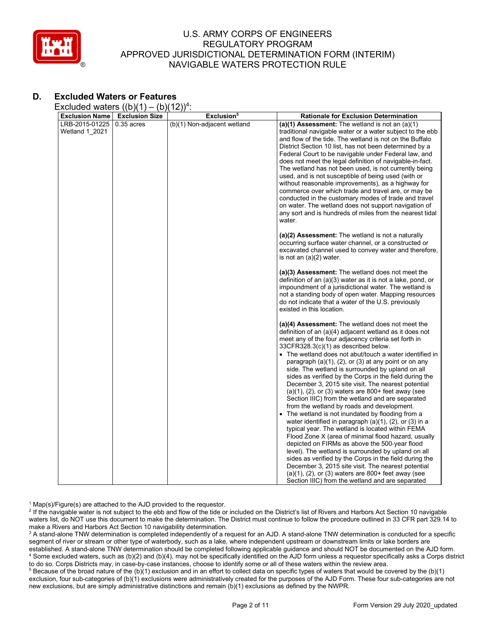

# **D. Excluded Waters or Features**

Excluded waters  $((b)(1) - (b)(12))^4$ :

| <b>Exclusion Name</b>            | <b>Exclusion Size</b> | Exclusion <sup>5</sup>      | <b>Rationale for Exclusion Determination</b>                                                                                                                                                                                                                                                                                                                                                                                                                                                                                                                                                                                                                                                                                                                                                                                                                                                                                                                                                                                                                                                                                                                                                                                                |
|----------------------------------|-----------------------|-----------------------------|---------------------------------------------------------------------------------------------------------------------------------------------------------------------------------------------------------------------------------------------------------------------------------------------------------------------------------------------------------------------------------------------------------------------------------------------------------------------------------------------------------------------------------------------------------------------------------------------------------------------------------------------------------------------------------------------------------------------------------------------------------------------------------------------------------------------------------------------------------------------------------------------------------------------------------------------------------------------------------------------------------------------------------------------------------------------------------------------------------------------------------------------------------------------------------------------------------------------------------------------|
| LRB-2015-01225<br>Wetland 1 2021 | $0.35$ acres          | (b)(1) Non-adjacent wetland | (a)(1) Assessment: The wetland is not an $(a)(1)$<br>traditional navigable water or a water subject to the ebb<br>and flow of the tide. The wetland is not on the Buffalo<br>District Section 10 list, has not been determined by a<br>Federal Court to be navigable under Federal law, and<br>does not meet the legal definition of navigable-in-fact.<br>The wetland has not been used, is not currently being<br>used, and is not susceptible of being used (with or<br>without reasonable improvements), as a highway for<br>commerce over which trade and travel are, or may be<br>conducted in the customary modes of trade and travel<br>on water. The wetland does not support navigation of<br>any sort and is hundreds of miles from the nearest tidal<br>water.                                                                                                                                                                                                                                                                                                                                                                                                                                                                  |
|                                  |                       |                             | (a)(2) Assessment: The wetland is not a naturally<br>occurring surface water channel, or a constructed or<br>excavated channel used to convey water and therefore,<br>is not an (a)(2) water.                                                                                                                                                                                                                                                                                                                                                                                                                                                                                                                                                                                                                                                                                                                                                                                                                                                                                                                                                                                                                                               |
|                                  |                       |                             | (a)(3) Assessment: The wetland does not meet the<br>definition of an (a)(3) water as it is not a lake, pond, or<br>impoundment of a jurisdictional water. The wetland is<br>not a standing body of open water. Mapping resources<br>do not indicate that a water of the U.S. previously<br>existed in this location.                                                                                                                                                                                                                                                                                                                                                                                                                                                                                                                                                                                                                                                                                                                                                                                                                                                                                                                        |
|                                  |                       |                             | (a)(4) Assessment: The wetland does not meet the<br>definition of an (a)(4) adjacent wetland as it does not<br>meet any of the four adjacency criteria set forth in<br>33CFR328.3(c)(1) as described below.<br>• The wetland does not abut/touch a water identified in<br>paragraph (a)(1), (2), or (3) at any point or on any<br>side. The wetland is surrounded by upland on all<br>sides as verified by the Corps in the field during the<br>December 3, 2015 site visit. The nearest potential<br>$(a)(1)$ , $(2)$ , or $(3)$ waters are 800+ feet away (see<br>Section IIIC) from the wetland and are separated<br>from the wetland by roads and development.<br>The wetland is not inundated by flooding from a<br>water identified in paragraph $(a)(1)$ , $(2)$ , or $(3)$ in a<br>typical year. The wetland is located within FEMA<br>Flood Zone X (area of minimal flood hazard, usually<br>depicted on FIRMs as above the 500-year flood<br>level). The wetland is surrounded by upland on all<br>sides as verified by the Corps in the field during the<br>December 3, 2015 site visit. The nearest potential<br>$(a)(1)$ , $(2)$ , or $(3)$ waters are 800+ feet away (see<br>Section IIIC) from the wetland and are separated |

 $1$  Map(s)/Figure(s) are attached to the AJD provided to the requestor.

<sup>2</sup> If the navigable water is not subject to the ebb and flow of the tide or included on the District's list of Rivers and Harbors Act Section 10 navigable waters list, do NOT use this document to make the determination. The District must continue to follow the procedure outlined in 33 CFR part 329.14 to make a Rivers and Harbors Act Section 10 navigability determination.

<sup>3</sup> A stand-alone TNW determination is completed independently of a request for an AJD. A stand-alone TNW determination is conducted for a specific segment of river or stream or other type of waterbody, such as a lake, where independent upstream or downstream limits or lake borders are established. A stand-alone TNW determination should be completed following applicable guidance and should NOT be documented on the AJD form. <sup>4</sup> Some excluded waters, such as (b)(2) and (b)(4), may not be specifically identified on the AJD form unless a requestor specifically asks a Corps district to do so. Corps Districts may, in case-by-case instances, choose to identify some or all of these waters within the review area.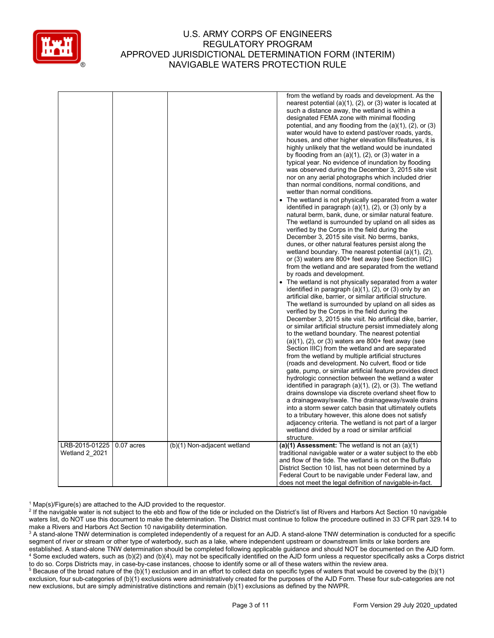

|                                  |              |                             | from the wetland by roads and development. As the<br>nearest potential $(a)(1)$ , $(2)$ , or $(3)$ water is located at<br>such a distance away, the wetland is within a<br>designated FEMA zone with minimal flooding<br>potential, and any flooding from the $(a)(1)$ , $(2)$ , or $(3)$<br>water would have to extend past/over roads, yards,<br>houses, and other higher elevation fills/features, it is<br>highly unlikely that the wetland would be inundated<br>by flooding from an $(a)(1)$ , $(2)$ , or $(3)$ water in a<br>typical year. No evidence of inundation by flooding<br>was observed during the December 3, 2015 site visit<br>nor on any aerial photographs which included drier<br>than normal conditions, normal conditions, and<br>wetter than normal conditions.<br>The wetland is not physically separated from a water<br>identified in paragraph (a)(1), (2), or (3) only by a<br>natural berm, bank, dune, or similar natural feature.<br>The wetland is surrounded by upland on all sides as<br>verified by the Corps in the field during the<br>December 3, 2015 site visit. No berms, banks,<br>dunes, or other natural features persist along the<br>wetland boundary. The nearest potential $(a)(1)$ , $(2)$ ,<br>or (3) waters are 800+ feet away (see Section IIIC)<br>from the wetland and are separated from the wetland<br>by roads and development.<br>• The wetland is not physically separated from a water<br>identified in paragraph (a)(1), (2), or (3) only by an<br>artificial dike, barrier, or similar artificial structure.<br>The wetland is surrounded by upland on all sides as<br>verified by the Corps in the field during the<br>December 3, 2015 site visit. No artificial dike, barrier,<br>or similar artificial structure persist immediately along<br>to the wetland boundary. The nearest potential<br>$(a)(1)$ , $(2)$ , or $(3)$ waters are 800+ feet away (see<br>Section IIIC) from the wetland and are separated<br>from the wetland by multiple artificial structures<br>(roads and development. No culvert, flood or tide<br>gate, pump, or similar artificial feature provides direct<br>hydrologic connection between the wetland a water<br>identified in paragraph $(a)(1)$ , $(2)$ , or $(3)$ . The wetland<br>drains downslope via discrete overland sheet flow to<br>a drainageway/swale. The drainageway/swale drains<br>into a storm sewer catch basin that ultimately outlets<br>to a tributary however, this alone does not satisfy<br>adjacency criteria. The wetland is not part of a larger<br>wetland divided by a road or similar artificial<br>structure. |
|----------------------------------|--------------|-----------------------------|------------------------------------------------------------------------------------------------------------------------------------------------------------------------------------------------------------------------------------------------------------------------------------------------------------------------------------------------------------------------------------------------------------------------------------------------------------------------------------------------------------------------------------------------------------------------------------------------------------------------------------------------------------------------------------------------------------------------------------------------------------------------------------------------------------------------------------------------------------------------------------------------------------------------------------------------------------------------------------------------------------------------------------------------------------------------------------------------------------------------------------------------------------------------------------------------------------------------------------------------------------------------------------------------------------------------------------------------------------------------------------------------------------------------------------------------------------------------------------------------------------------------------------------------------------------------------------------------------------------------------------------------------------------------------------------------------------------------------------------------------------------------------------------------------------------------------------------------------------------------------------------------------------------------------------------------------------------------------------------------------------------------------------------------------------------------------------------------------------------------------------------------------------------------------------------------------------------------------------------------------------------------------------------------------------------------------------------------------------------------------------------------------------------------------------------------------------------------------------------------------------------------------------------------------------------------------------------------------------------------------------------------|
| LRB-2015-01225<br>Wetland 2 2021 | $0.07$ acres | (b)(1) Non-adjacent wetland | (a)(1) Assessment: The wetland is not an $(a)(1)$<br>traditional navigable water or a water subject to the ebb<br>and flow of the tide. The wetland is not on the Buffalo<br>District Section 10 list, has not been determined by a<br>Federal Court to be navigable under Federal law, and                                                                                                                                                                                                                                                                                                                                                                                                                                                                                                                                                                                                                                                                                                                                                                                                                                                                                                                                                                                                                                                                                                                                                                                                                                                                                                                                                                                                                                                                                                                                                                                                                                                                                                                                                                                                                                                                                                                                                                                                                                                                                                                                                                                                                                                                                                                                                    |
|                                  |              |                             | does not meet the legal definition of navigable-in-fact.                                                                                                                                                                                                                                                                                                                                                                                                                                                                                                                                                                                                                                                                                                                                                                                                                                                                                                                                                                                                                                                                                                                                                                                                                                                                                                                                                                                                                                                                                                                                                                                                                                                                                                                                                                                                                                                                                                                                                                                                                                                                                                                                                                                                                                                                                                                                                                                                                                                                                                                                                                                       |

 $1$  Map(s)/Figure(s) are attached to the AJD provided to the requestor.

<sup>&</sup>lt;sup>2</sup> If the navigable water is not subject to the ebb and flow of the tide or included on the District's list of Rivers and Harbors Act Section 10 navigable waters list, do NOT use this document to make the determination. The District must continue to follow the procedure outlined in 33 CFR part 329.14 to make a Rivers and Harbors Act Section 10 navigability determination.

<sup>&</sup>lt;sup>3</sup> A stand-alone TNW determination is completed independently of a request for an AJD. A stand-alone TNW determination is conducted for a specific segment of river or stream or other type of waterbody, such as a lake, where independent upstream or downstream limits or lake borders are established. A stand-alone TNW determination should be completed following applicable guidance and should NOT be documented on the AJD form. <sup>4</sup> Some excluded waters, such as (b)(2) and (b)(4), may not be specifically identified on the AJD form unless a requestor specifically asks a Corps district to do so. Corps Districts may, in case-by-case instances, choose to identify some or all of these waters within the review area.

<sup>&</sup>lt;sup>5</sup> Because of the broad nature of the (b)(1) exclusion and in an effort to collect data on specific types of waters that would be covered by the (b)(1) exclusion, four sub-categories of (b)(1) exclusions were administratively created for the purposes of the AJD Form. These four sub-categories are not new exclusions, but are simply administrative distinctions and remain (b)(1) exclusions as defined by the NWPR.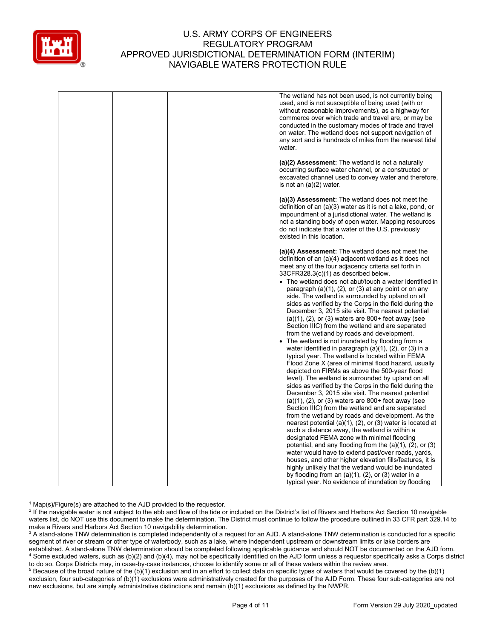

|  | The wetland has not been used, is not currently being<br>used, and is not susceptible of being used (with or<br>without reasonable improvements), as a highway for<br>commerce over which trade and travel are, or may be<br>conducted in the customary modes of trade and travel<br>on water. The wetland does not support navigation of<br>any sort and is hundreds of miles from the nearest tidal<br>water.                                                                                                                                                                                                                                                                                                                                                                                                                                                                                                                                                                                                                                                                                                                                                                                                                                                                                                                                                                                                                                                                                                                    |
|--|------------------------------------------------------------------------------------------------------------------------------------------------------------------------------------------------------------------------------------------------------------------------------------------------------------------------------------------------------------------------------------------------------------------------------------------------------------------------------------------------------------------------------------------------------------------------------------------------------------------------------------------------------------------------------------------------------------------------------------------------------------------------------------------------------------------------------------------------------------------------------------------------------------------------------------------------------------------------------------------------------------------------------------------------------------------------------------------------------------------------------------------------------------------------------------------------------------------------------------------------------------------------------------------------------------------------------------------------------------------------------------------------------------------------------------------------------------------------------------------------------------------------------------|
|  | (a)(2) Assessment: The wetland is not a naturally<br>occurring surface water channel, or a constructed or<br>excavated channel used to convey water and therefore,<br>is not an $(a)(2)$ water.                                                                                                                                                                                                                                                                                                                                                                                                                                                                                                                                                                                                                                                                                                                                                                                                                                                                                                                                                                                                                                                                                                                                                                                                                                                                                                                                    |
|  | (a)(3) Assessment: The wetland does not meet the<br>definition of an (a)(3) water as it is not a lake, pond, or<br>impoundment of a jurisdictional water. The wetland is<br>not a standing body of open water. Mapping resources<br>do not indicate that a water of the U.S. previously<br>existed in this location.                                                                                                                                                                                                                                                                                                                                                                                                                                                                                                                                                                                                                                                                                                                                                                                                                                                                                                                                                                                                                                                                                                                                                                                                               |
|  | (a)(4) Assessment: The wetland does not meet the<br>definition of an (a)(4) adjacent wetland as it does not<br>meet any of the four adjacency criteria set forth in<br>33CFR328.3(c)(1) as described below.<br>• The wetland does not abut/touch a water identified in<br>paragraph (a)(1), (2), or (3) at any point or on any<br>side. The wetland is surrounded by upland on all<br>sides as verified by the Corps in the field during the<br>December 3, 2015 site visit. The nearest potential<br>$(a)(1)$ , $(2)$ , or $(3)$ waters are 800+ feet away (see<br>Section IIIC) from the wetland and are separated<br>from the wetland by roads and development.<br>• The wetland is not inundated by flooding from a<br>water identified in paragraph $(a)(1)$ , $(2)$ , or $(3)$ in a<br>typical year. The wetland is located within FEMA<br>Flood Zone X (area of minimal flood hazard, usually<br>depicted on FIRMs as above the 500-year flood<br>level). The wetland is surrounded by upland on all<br>sides as verified by the Corps in the field during the<br>December 3, 2015 site visit. The nearest potential<br>$(a)(1)$ , $(2)$ , or $(3)$ waters are 800+ feet away (see<br>Section IIIC) from the wetland and are separated<br>from the wetland by roads and development. As the<br>nearest potential (a)(1), (2), or (3) water is located at<br>such a distance away, the wetland is within a<br>designated FEMA zone with minimal flooding<br>potential, and any flooding from the $(a)(1)$ , $(2)$ , or $(3)$ |
|  | water would have to extend past/over roads, yards,<br>houses, and other higher elevation fills/features, it is<br>highly unlikely that the wetland would be inundated<br>by flooding from an $(a)(1)$ , $(2)$ , or $(3)$ water in a<br>typical year. No evidence of inundation by flooding                                                                                                                                                                                                                                                                                                                                                                                                                                                                                                                                                                                                                                                                                                                                                                                                                                                                                                                                                                                                                                                                                                                                                                                                                                         |

 $1$  Map(s)/Figure(s) are attached to the AJD provided to the requestor.

<sup>2</sup> If the navigable water is not subject to the ebb and flow of the tide or included on the District's list of Rivers and Harbors Act Section 10 navigable waters list, do NOT use this document to make the determination. The District must continue to follow the procedure outlined in 33 CFR part 329.14 to make a Rivers and Harbors Act Section 10 navigability determination.

<sup>3</sup> A stand-alone TNW determination is completed independently of a request for an AJD. A stand-alone TNW determination is conducted for a specific segment of river or stream or other type of waterbody, such as a lake, where independent upstream or downstream limits or lake borders are established. A stand-alone TNW determination should be completed following applicable guidance and should NOT be documented on the AJD form. <sup>4</sup> Some excluded waters, such as (b)(2) and (b)(4), may not be specifically identified on the AJD form unless a requestor specifically asks a Corps district to do so. Corps Districts may, in case-by-case instances, choose to identify some or all of these waters within the review area.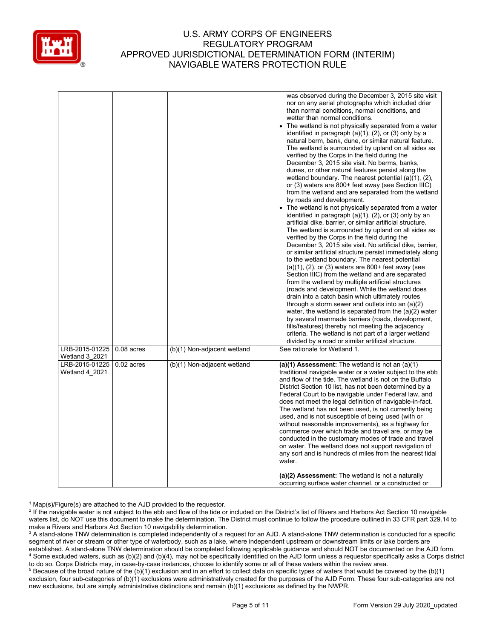

|                                                    |              |                             | was observed during the December 3, 2015 site visit<br>nor on any aerial photographs which included drier<br>than normal conditions, normal conditions, and<br>wetter than normal conditions.<br>The wetland is not physically separated from a water<br>identified in paragraph $(a)(1)$ , $(2)$ , or $(3)$ only by a<br>natural berm, bank, dune, or similar natural feature.<br>The wetland is surrounded by upland on all sides as<br>verified by the Corps in the field during the<br>December 3, 2015 site visit. No berms, banks,<br>dunes, or other natural features persist along the<br>wetland boundary. The nearest potential $(a)(1)$ , $(2)$ ,<br>or (3) waters are 800+ feet away (see Section IIIC)<br>from the wetland and are separated from the wetland<br>by roads and development.<br>• The wetland is not physically separated from a water<br>identified in paragraph (a)(1), (2), or (3) only by an<br>artificial dike, barrier, or similar artificial structure.<br>The wetland is surrounded by upland on all sides as<br>verified by the Corps in the field during the<br>December 3, 2015 site visit. No artificial dike, barrier,<br>or similar artificial structure persist immediately along<br>to the wetland boundary. The nearest potential<br>$(a)(1)$ , $(2)$ , or $(3)$ waters are 800+ feet away (see<br>Section IIIC) from the wetland and are separated<br>from the wetland by multiple artificial structures<br>(roads and development. While the wetland does<br>drain into a catch basin which ultimately routes<br>through a storm sewer and outlets into an $(a)(2)$<br>water, the wetland is separated from the $(a)(2)$ water<br>by several manmade barriers (roads, development,<br>fills/features) thereby not meeting the adjacency<br>criteria. The wetland is not part of a larger wetland<br>divided by a road or similar artificial structure. |
|----------------------------------------------------|--------------|-----------------------------|------------------------------------------------------------------------------------------------------------------------------------------------------------------------------------------------------------------------------------------------------------------------------------------------------------------------------------------------------------------------------------------------------------------------------------------------------------------------------------------------------------------------------------------------------------------------------------------------------------------------------------------------------------------------------------------------------------------------------------------------------------------------------------------------------------------------------------------------------------------------------------------------------------------------------------------------------------------------------------------------------------------------------------------------------------------------------------------------------------------------------------------------------------------------------------------------------------------------------------------------------------------------------------------------------------------------------------------------------------------------------------------------------------------------------------------------------------------------------------------------------------------------------------------------------------------------------------------------------------------------------------------------------------------------------------------------------------------------------------------------------------------------------------------------------------------------------------------------------------------------------------------------------|
| LRB-2015-01225                                     | $0.08$ acres | (b)(1) Non-adjacent wetland | See rationale for Wetland 1.                                                                                                                                                                                                                                                                                                                                                                                                                                                                                                                                                                                                                                                                                                                                                                                                                                                                                                                                                                                                                                                                                                                                                                                                                                                                                                                                                                                                                                                                                                                                                                                                                                                                                                                                                                                                                                                                         |
| Wetland 3 2021<br>LRB-2015-01225<br>Wetland 4 2021 | $0.02$ acres | (b)(1) Non-adjacent wetland | (a)(1) Assessment: The wetland is not an $(a)(1)$<br>traditional navigable water or a water subject to the ebb<br>and flow of the tide. The wetland is not on the Buffalo<br>District Section 10 list, has not been determined by a<br>Federal Court to be navigable under Federal law, and<br>does not meet the legal definition of navigable-in-fact.<br>The wetland has not been used, is not currently being<br>used, and is not susceptible of being used (with or<br>without reasonable improvements), as a highway for<br>commerce over which trade and travel are, or may be<br>conducted in the customary modes of trade and travel<br>on water. The wetland does not support navigation of<br>any sort and is hundreds of miles from the nearest tidal<br>water.<br>(a)(2) Assessment: The wetland is not a naturally                                                                                                                                                                                                                                                                                                                                                                                                                                                                                                                                                                                                                                                                                                                                                                                                                                                                                                                                                                                                                                                                      |
|                                                    |              |                             | occurring surface water channel, or a constructed or                                                                                                                                                                                                                                                                                                                                                                                                                                                                                                                                                                                                                                                                                                                                                                                                                                                                                                                                                                                                                                                                                                                                                                                                                                                                                                                                                                                                                                                                                                                                                                                                                                                                                                                                                                                                                                                 |

 $1$  Map(s)/Figure(s) are attached to the AJD provided to the requestor.

<sup>2</sup> If the navigable water is not subject to the ebb and flow of the tide or included on the District's list of Rivers and Harbors Act Section 10 navigable waters list, do NOT use this document to make the determination. The District must continue to follow the procedure outlined in 33 CFR part 329.14 to make a Rivers and Harbors Act Section 10 navigability determination.

<sup>3</sup> A stand-alone TNW determination is completed independently of a request for an AJD. A stand-alone TNW determination is conducted for a specific segment of river or stream or other type of waterbody, such as a lake, where independent upstream or downstream limits or lake borders are established. A stand-alone TNW determination should be completed following applicable guidance and should NOT be documented on the AJD form. <sup>4</sup> Some excluded waters, such as (b)(2) and (b)(4), may not be specifically identified on the AJD form unless a requestor specifically asks a Corps district to do so. Corps Districts may, in case-by-case instances, choose to identify some or all of these waters within the review area.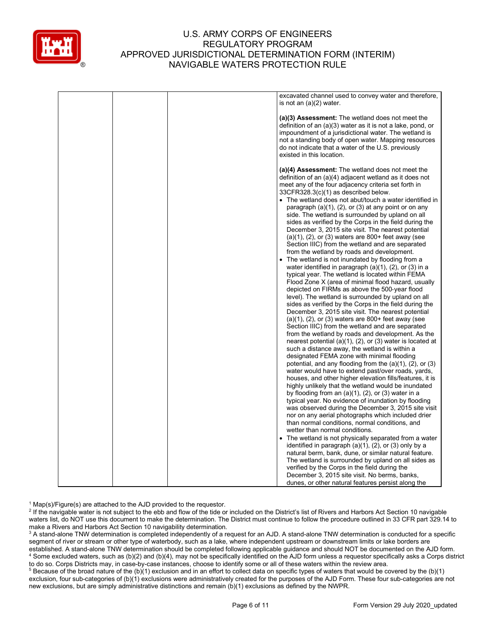

|  | excavated channel used to convey water and therefore,<br>is not an $(a)(2)$ water.                                                                                                                                                                                                                                                                                                                                                                                                                                                                                                                                                                                                                                                                                                                                                                                                                                                                                                                                                                                                                                                                                                                                                                                                                                                 |
|--|------------------------------------------------------------------------------------------------------------------------------------------------------------------------------------------------------------------------------------------------------------------------------------------------------------------------------------------------------------------------------------------------------------------------------------------------------------------------------------------------------------------------------------------------------------------------------------------------------------------------------------------------------------------------------------------------------------------------------------------------------------------------------------------------------------------------------------------------------------------------------------------------------------------------------------------------------------------------------------------------------------------------------------------------------------------------------------------------------------------------------------------------------------------------------------------------------------------------------------------------------------------------------------------------------------------------------------|
|  | (a)(3) Assessment: The wetland does not meet the<br>definition of an (a)(3) water as it is not a lake, pond, or<br>impoundment of a jurisdictional water. The wetland is<br>not a standing body of open water. Mapping resources<br>do not indicate that a water of the U.S. previously<br>existed in this location.                                                                                                                                                                                                                                                                                                                                                                                                                                                                                                                                                                                                                                                                                                                                                                                                                                                                                                                                                                                                               |
|  | (a)(4) Assessment: The wetland does not meet the<br>definition of an (a)(4) adjacent wetland as it does not<br>meet any of the four adjacency criteria set forth in<br>$33CFR328.3(c)(1)$ as described below.<br>• The wetland does not abut/touch a water identified in<br>paragraph (a)(1), (2), or (3) at any point or on any<br>side. The wetland is surrounded by upland on all<br>sides as verified by the Corps in the field during the<br>December 3, 2015 site visit. The nearest potential<br>$(a)(1)$ , $(2)$ , or $(3)$ waters are 800+ feet away (see<br>Section IIIC) from the wetland and are separated<br>from the wetland by roads and development.                                                                                                                                                                                                                                                                                                                                                                                                                                                                                                                                                                                                                                                               |
|  | • The wetland is not inundated by flooding from a<br>water identified in paragraph $(a)(1)$ , $(2)$ , or $(3)$ in a<br>typical year. The wetland is located within FEMA<br>Flood Zone X (area of minimal flood hazard, usually<br>depicted on FIRMs as above the 500-year flood<br>level). The wetland is surrounded by upland on all<br>sides as verified by the Corps in the field during the<br>December 3, 2015 site visit. The nearest potential<br>$(a)(1)$ , $(2)$ , or $(3)$ waters are 800+ feet away (see<br>Section IIIC) from the wetland and are separated<br>from the wetland by roads and development. As the<br>nearest potential (a) $(1)$ , $(2)$ , or $(3)$ water is located at<br>such a distance away, the wetland is within a<br>designated FEMA zone with minimal flooding<br>potential, and any flooding from the $(a)(1)$ , $(2)$ , or $(3)$<br>water would have to extend past/over roads, yards,<br>houses, and other higher elevation fills/features, it is<br>highly unlikely that the wetland would be inundated<br>by flooding from an $(a)(1)$ , $(2)$ , or $(3)$ water in a<br>typical year. No evidence of inundation by flooding<br>was observed during the December 3, 2015 site visit<br>nor on any aerial photographs which included drier<br>than normal conditions, normal conditions, and |
|  | wetter than normal conditions.<br>• The wetland is not physically separated from a water<br>identified in paragraph (a)(1), (2), or (3) only by a<br>natural berm, bank, dune, or similar natural feature.<br>The wetland is surrounded by upland on all sides as<br>verified by the Corps in the field during the<br>December 3, 2015 site visit. No berms, banks,                                                                                                                                                                                                                                                                                                                                                                                                                                                                                                                                                                                                                                                                                                                                                                                                                                                                                                                                                                |
|  | dunes, or other natural features persist along the                                                                                                                                                                                                                                                                                                                                                                                                                                                                                                                                                                                                                                                                                                                                                                                                                                                                                                                                                                                                                                                                                                                                                                                                                                                                                 |

 $1$  Map(s)/Figure(s) are attached to the AJD provided to the requestor.

<sup>2</sup> If the navigable water is not subject to the ebb and flow of the tide or included on the District's list of Rivers and Harbors Act Section 10 navigable waters list, do NOT use this document to make the determination. The District must continue to follow the procedure outlined in 33 CFR part 329.14 to make a Rivers and Harbors Act Section 10 navigability determination.

<sup>3</sup> A stand-alone TNW determination is completed independently of a request for an AJD. A stand-alone TNW determination is conducted for a specific segment of river or stream or other type of waterbody, such as a lake, where independent upstream or downstream limits or lake borders are established. A stand-alone TNW determination should be completed following applicable guidance and should NOT be documented on the AJD form. <sup>4</sup> Some excluded waters, such as (b)(2) and (b)(4), may not be specifically identified on the AJD form unless a requestor specifically asks a Corps district to do so. Corps Districts may, in case-by-case instances, choose to identify some or all of these waters within the review area.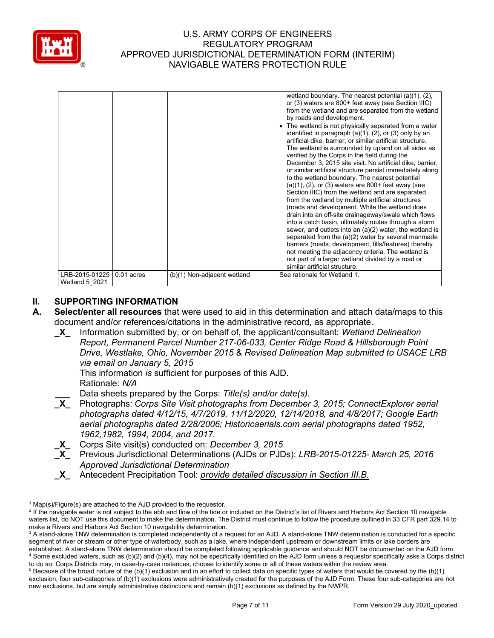

| LRB-2015-01225        | $0.01$ acres | (b)(1) Non-adjacent wetland | The wetland is not physically separated from a water<br>identified in paragraph (a)(1), (2), or (3) only by an<br>artificial dike, barrier, or similar artificial structure.<br>The wetland is surrounded by upland on all sides as<br>verified by the Corps in the field during the<br>December 3, 2015 site visit. No artificial dike, barrier,<br>or similar artificial structure persist immediately along<br>to the wetland boundary. The nearest potential<br>$(a)(1)$ , $(2)$ , or $(3)$ waters are 800+ feet away (see<br>Section IIIC) from the wetland and are separated<br>from the wetland by multiple artificial structures<br>(roads and development. While the wetland does<br>drain into an off-site drainageway/swale which flows<br>into a catch basin, ultimately routes through a storm<br>sewer, and outlets into an $(a)(2)$ water, the wetland is<br>separated from the (a)(2) water by several manmade<br>barriers (roads, development, fills/features) thereby<br>not meeting the adjacency criteria. The wetland is<br>not part of a larger wetland divided by a road or<br>similar artificial structure.<br>See rationale for Wetland 1. |
|-----------------------|--------------|-----------------------------|---------------------------------------------------------------------------------------------------------------------------------------------------------------------------------------------------------------------------------------------------------------------------------------------------------------------------------------------------------------------------------------------------------------------------------------------------------------------------------------------------------------------------------------------------------------------------------------------------------------------------------------------------------------------------------------------------------------------------------------------------------------------------------------------------------------------------------------------------------------------------------------------------------------------------------------------------------------------------------------------------------------------------------------------------------------------------------------------------------------------------------------------------------------------|
| <b>Wetland 5 2021</b> |              |                             |                                                                                                                                                                                                                                                                                                                                                                                                                                                                                                                                                                                                                                                                                                                                                                                                                                                                                                                                                                                                                                                                                                                                                                     |

# **II. SUPPORTING INFORMATION**

- **A. Select/enter all resources** that were used to aid in this determination and attach data/maps to this document and/or references/citations in the administrative record, as appropriate.
	- **\_X\_** Information submitted by, or on behalf of, the applicant/consultant: *Wetland Delineation Report, Permanent Parcel Number 217-06-033, Center Ridge Road & Hillsborough Point Drive, Westlake, Ohio, November 2015* & *Revised Delineation Map submitted to USACE LRB via email on January 5, 2015*

This information *is* sufficient for purposes of this AJD. Rationale: *N/A* 

- **Lata sheets prepared by the Corps: Title(s) and/or date(s).**<br>**X** Photographs: *Corps Site Visit photographs from December* **\_X\_** Photographs: *Corps Site Visit photographs from December 3, 2015; ConnectExplorer aerial photographs dated 4/12/15, 4/7/2019, 11/12/2020, 12/14/2018, and 4/8/2017; Google Earth aerial photographs dated 2/28/2006; Historicaerials.com aerial photographs dated 1952, 1962,1982, 1994, 2004, and 2017.*
- **\_X\_** Corps Site visit(s) conducted on: *December 3, 2015*
- **\_X\_** Previous Jurisdictional Determinations (AJDs or PJDs): *LRB-2015-01225- March 25, 2016 Approved Jurisdictional Determination*
- **\_X\_** Antecedent Precipitation Tool: *provide detailed discussion in Section III.B.*

 $1$  Map(s)/Figure(s) are attached to the AJD provided to the requestor.

<sup>&</sup>lt;sup>2</sup> If the navigable water is not subject to the ebb and flow of the tide or included on the District's list of Rivers and Harbors Act Section 10 navigable waters list, do NOT use this document to make the determination. The District must continue to follow the procedure outlined in 33 CFR part 329.14 to make a Rivers and Harbors Act Section 10 navigability determination.

<sup>&</sup>lt;sup>3</sup> A stand-alone TNW determination is completed independently of a request for an AJD. A stand-alone TNW determination is conducted for a specific segment of river or stream or other type of waterbody, such as a lake, where independent upstream or downstream limits or lake borders are established. A stand-alone TNW determination should be completed following applicable guidance and should NOT be documented on the AJD form. <sup>4</sup> Some excluded waters, such as (b)(2) and (b)(4), may not be specifically identified on the AJD form unless a requestor specifically asks a Corps district to do so. Corps Districts may, in case-by-case instances, choose to identify some or all of these waters within the review area.

 $5$  Because of the broad nature of the (b)(1) exclusion and in an effort to collect data on specific types of waters that would be covered by the (b)(1) exclusion, four sub-categories of (b)(1) exclusions were administratively created for the purposes of the AJD Form. These four sub-categories are not new exclusions, but are simply administrative distinctions and remain (b)(1) exclusions as defined by the NWPR.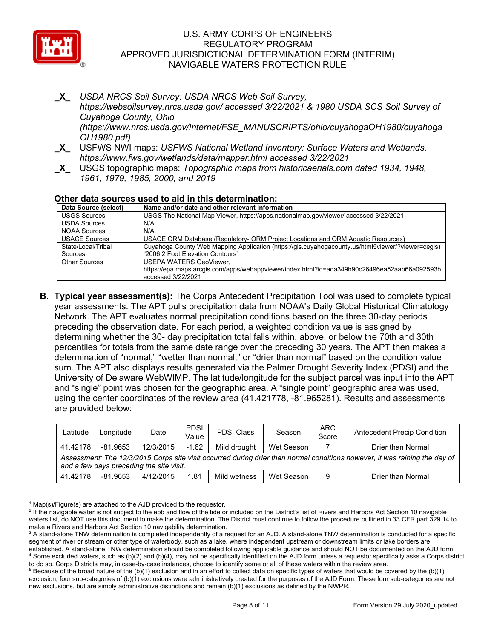

- **\_X\_** *USDA NRCS Soil Survey: USDA NRCS Web Soil Survey, https://websoilsurvey.nrcs.usda.gov/ accessed 3/22/2021 & 1980 USDA SCS Soil Survey of Cuyahoga County, Ohio (https://www.nrcs.usda.gov/Internet/FSE\_MANUSCRIPTS/ohio/cuyahogaOH1980/cuyahoga OH1980.pdf)*
- **\_X\_** USFWS NWI maps: *USFWS National Wetland Inventory: Surface Waters and Wetlands, https://www.fws.gov/wetlands/data/mapper.html accessed 3/22/2021*
- **\_X\_** USGS topographic maps: *Topographic maps from historicaerials.com dated 1934, 1948, 1961, 1979, 1985, 2000, and 2019*

### **Other data sources used to aid in this determination:**

| Data Source (select) | Name and/or date and other relevant information                                                   |
|----------------------|---------------------------------------------------------------------------------------------------|
| <b>USGS Sources</b>  | USGS The National Map Viewer, https://apps.nationalmap.gov/viewer/ accessed 3/22/2021             |
| <b>USDA Sources</b>  | $N/A$ .                                                                                           |
| <b>NOAA Sources</b>  | N/A.                                                                                              |
| <b>USACE Sources</b> | USACE ORM Database (Regulatory- ORM Project Locations and ORM Aquatic Resources)                  |
| State/Local/Tribal   | Cuyahoga County Web Mapping Application (https://gis.cuyahogacounty.us/html5viewer/?viewer=cegis) |
| Sources              | "2006 2 Foot Elevation Contours"                                                                  |
| <b>Other Sources</b> | <b>USEPA WATERS GeoViewer.</b>                                                                    |
|                      | https://epa.maps.arcgis.com/apps/webappviewer/index.html?id=ada349b90c26496ea52aab66a092593b      |
|                      | accessed 3/22/2021                                                                                |

**B. Typical year assessment(s):** The Corps Antecedent Precipitation Tool was used to complete typical year assessments. The APT pulls precipitation data from NOAA's Daily Global Historical Climatology Network. The APT evaluates normal precipitation conditions based on the three 30-day periods preceding the observation date. For each period, a weighted condition value is assigned by determining whether the 30- day precipitation total falls within, above, or below the 70th and 30th percentiles for totals from the same date range over the preceding 30 years. The APT then makes a determination of "normal," "wetter than normal," or "drier than normal" based on the condition value sum. The APT also displays results generated via the Palmer Drought Severity Index (PDSI) and the University of Delaware WebWIMP. The latitude/longitude for the subject parcel was input into the APT and "single" point was chosen for the geographic area. A "single point" geographic area was used, using the center coordinates of the review area (41.421778, -81.965281). Results and assessments are provided below:

| Latitude                                                                                                                                                               | Longitude  | Date      | <b>PDSI</b><br>Value | <b>PDSI Class</b> | Season     | <b>ARC</b><br>Score | <b>Antecedent Precip Condition</b> |  |  |  |
|------------------------------------------------------------------------------------------------------------------------------------------------------------------------|------------|-----------|----------------------|-------------------|------------|---------------------|------------------------------------|--|--|--|
| 41.42178                                                                                                                                                               | $-81.9653$ | 12/3/2015 | $-1.62$              | Mild drouaht      | Wet Season |                     | Drier than Normal                  |  |  |  |
| Assessment: The 12/3/2015 Corps site visit occurred during drier than normal conditions however, it was raining the day of<br>and a few days preceding the site visit. |            |           |                      |                   |            |                     |                                    |  |  |  |
| 41.42178                                                                                                                                                               | $-81.9653$ | 4/12/2015 | 1.81                 | Mild wetness      | Wet Season | 9                   | Drier than Normal                  |  |  |  |

 $1$  Map(s)/Figure(s) are attached to the AJD provided to the requestor.

<sup>&</sup>lt;sup>2</sup> If the navigable water is not subject to the ebb and flow of the tide or included on the District's list of Rivers and Harbors Act Section 10 navigable waters list, do NOT use this document to make the determination. The District must continue to follow the procedure outlined in 33 CFR part 329.14 to make a Rivers and Harbors Act Section 10 navigability determination.

<sup>&</sup>lt;sup>3</sup> A stand-alone TNW determination is completed independently of a request for an AJD. A stand-alone TNW determination is conducted for a specific segment of river or stream or other type of waterbody, such as a lake, where independent upstream or downstream limits or lake borders are established. A stand-alone TNW determination should be completed following applicable guidance and should NOT be documented on the AJD form. <sup>4</sup> Some excluded waters, such as (b)(2) and (b)(4), may not be specifically identified on the AJD form unless a requestor specifically asks a Corps district to do so. Corps Districts may, in case-by-case instances, choose to identify some or all of these waters within the review area.

 $5$  Because of the broad nature of the (b)(1) exclusion and in an effort to collect data on specific types of waters that would be covered by the (b)(1) exclusion, four sub-categories of (b)(1) exclusions were administratively created for the purposes of the AJD Form. These four sub-categories are not new exclusions, but are simply administrative distinctions and remain (b)(1) exclusions as defined by the NWPR.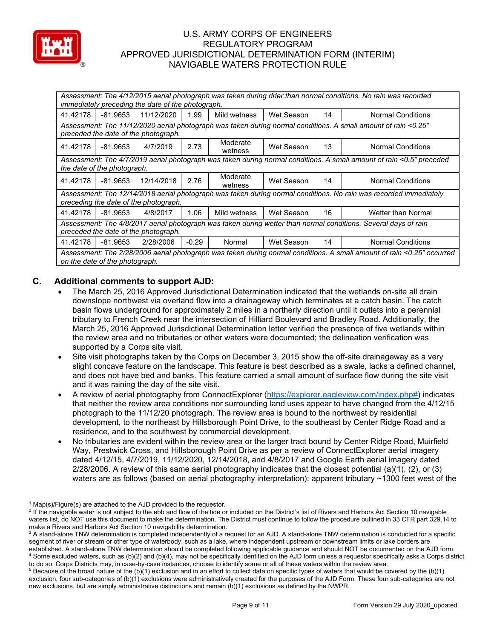

| Assessment: The 4/12/2015 aerial photograph was taken during drier than normal conditions. No rain was recorded<br>immediately preceding the date of the photograph. |            |            |         |                     |            |    |                          |  |  |  |
|----------------------------------------------------------------------------------------------------------------------------------------------------------------------|------------|------------|---------|---------------------|------------|----|--------------------------|--|--|--|
| 41.42178                                                                                                                                                             | -81.9653   | 11/12/2020 | 1.99    | Mild wetness        | Wet Season | 14 | <b>Normal Conditions</b> |  |  |  |
| Assessment: The 11/12/2020 aerial photograph was taken during normal conditions. A small amount of rain <0.25"<br>preceded the date of the photograph.               |            |            |         |                     |            |    |                          |  |  |  |
| 41.42178                                                                                                                                                             | -81.9653   | 4/7/2019   | 2.73    | Moderate<br>wetness | Wet Season | 13 | <b>Normal Conditions</b> |  |  |  |
| Assessment: The 4/7/2019 aerial photograph was taken during normal conditions. A small amount of rain <0.5" preceded                                                 |            |            |         |                     |            |    |                          |  |  |  |
| the date of the photograph.                                                                                                                                          |            |            |         |                     |            |    |                          |  |  |  |
| 41.42178                                                                                                                                                             | -81.9653   | 12/14/2018 | 2.76    | Moderate<br>wetness | Wet Season | 14 | <b>Normal Conditions</b> |  |  |  |
| Assessment: The 12/14/2018 aerial photograph was taken during normal conditions. No rain was recorded immediately                                                    |            |            |         |                     |            |    |                          |  |  |  |
| preceding the date of the photograph.                                                                                                                                |            |            |         |                     |            |    |                          |  |  |  |
| 41.42178                                                                                                                                                             | $-81.9653$ | 4/8/2017   | 1.06    | Mild wetness        | Wet Season | 16 | Wetter than Normal       |  |  |  |
| Assessment: The 4/8/2017 aerial photograph was taken during wetter than normal conditions. Several days of rain                                                      |            |            |         |                     |            |    |                          |  |  |  |
| preceded the date of the photograph.                                                                                                                                 |            |            |         |                     |            |    |                          |  |  |  |
| 41.42178                                                                                                                                                             | -81.9653   | 2/28/2006  | $-0.29$ | Normal              | Wet Season | 14 | <b>Normal Conditions</b> |  |  |  |
| Assessment: The 2/28/2006 aerial photograph was taken during normal conditions. A small amount of rain <0.25" occurred<br>on the date of the photograph.             |            |            |         |                     |            |    |                          |  |  |  |

# **C. Additional comments to support AJD:**

- The March 25, 2016 Approved Jurisdictional Determination indicated that the wetlands on-site all drain downslope northwest via overland flow into a drainageway which terminates at a catch basin. The catch basin flows underground for approximately 2 miles in a northerly direction until it outlets into a perennial tributary to French Creek near the intersection of Hilliard Boulevard and Bradley Road. Additionally, the March 25, 2016 Approved Jurisdictional Determination letter verified the presence of five wetlands within the review area and no tributaries or other waters were documented; the delineation verification was supported by a Corps site visit.
- Site visit photographs taken by the Corps on December 3, 2015 show the off-site drainageway as a very slight concave feature on the landscape. This feature is best described as a swale, lacks a defined channel, and does not have bed and banks. This feature carried a small amount of surface flow during the site visit and it was raining the day of the site visit.
- A review of aerial photography from ConnectExplorer [\(https://explorer.eagleview.com/index.php#\)](https://explorer.eagleview.com/index.php) indicates that neither the review area conditions nor surrounding land uses appear to have changed from the 4/12/15 photograph to the 11/12/20 photograph. The review area is bound to the northwest by residential development, to the northeast by Hillsborough Point Drive, to the southeast by Center Ridge Road and a residence, and to the southwest by commercial development.
- No tributaries are evident within the review area or the larger tract bound by Center Ridge Road, Muirfield Way, Prestwick Cross, and Hillsborough Point Drive as per a review of ConnectExplorer aerial imagery dated 4/12/15, 4/7/2019, 11/12/2020, 12/14/2018, and 4/8/2017 and Google Earth aerial imagery dated 2/28/2006. A review of this same aerial photography indicates that the closest potential (a)(1), (2), or (3) waters are as follows (based on aerial photography interpretation): apparent tributary ~1300 feet west of the

 $1$  Map(s)/Figure(s) are attached to the AJD provided to the requestor.

<sup>&</sup>lt;sup>2</sup> If the navigable water is not subject to the ebb and flow of the tide or included on the District's list of Rivers and Harbors Act Section 10 navigable waters list, do NOT use this document to make the determination. The District must continue to follow the procedure outlined in 33 CFR part 329.14 to make a Rivers and Harbors Act Section 10 navigability determination.

<sup>&</sup>lt;sup>3</sup> A stand-alone TNW determination is completed independently of a request for an AJD. A stand-alone TNW determination is conducted for a specific segment of river or stream or other type of waterbody, such as a lake, where independent upstream or downstream limits or lake borders are established. A stand-alone TNW determination should be completed following applicable guidance and should NOT be documented on the AJD form. <sup>4</sup> Some excluded waters, such as (b)(2) and (b)(4), may not be specifically identified on the AJD form unless a requestor specifically asks a Corps district to do so. Corps Districts may, in case-by-case instances, choose to identify some or all of these waters within the review area.

 $5$  Because of the broad nature of the (b)(1) exclusion and in an effort to collect data on specific types of waters that would be covered by the (b)(1) exclusion, four sub-categories of (b)(1) exclusions were administratively created for the purposes of the AJD Form. These four sub-categories are not new exclusions, but are simply administrative distinctions and remain (b)(1) exclusions as defined by the NWPR.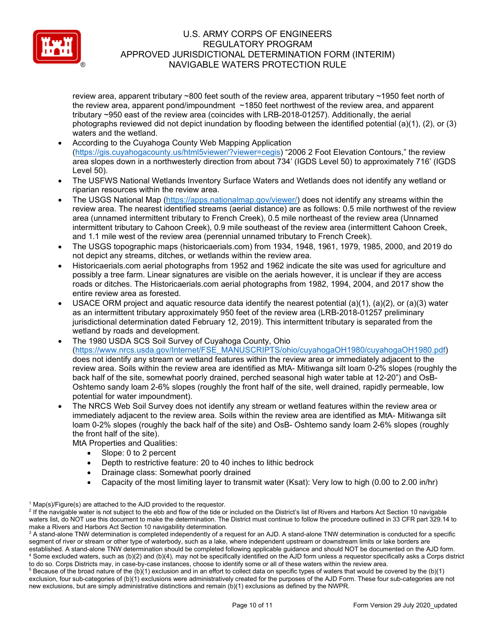

review area, apparent tributary ~800 feet south of the review area, apparent tributary ~1950 feet north of the review area, apparent pond/impoundment ~1850 feet northwest of the review area, and apparent tributary ~950 east of the review area (coincides with LRB-2018-01257). Additionally, the aerial photographs reviewed did not depict inundation by flooding between the identified potential (a)(1), (2), or (3) waters and the wetland.

- According to the Cuyahoga County Web Mapping Application [\(https://gis.cuyahogacounty.us/html5viewer/?viewer=cegis\)](https://gis.cuyahogacounty.us/html5viewer/?viewer=cegis) "2006 2 Foot Elevation Contours," the review area slopes down in a northwesterly direction from about 734' (IGDS Level 50) to approximately 716' (IGDS Level 50).
- The USFWS National Wetlands Inventory Surface Waters and Wetlands does not identify any wetland or riparian resources within the review area.
- The USGS National Map [\(https://apps.nationalmap.gov/viewer/\)](https://apps.nationalmap.gov/viewer/) does not identify any streams within the review area. The nearest identified streams (aerial distance) are as follows: 0.5 mile northwest of the review area (unnamed intermittent tributary to French Creek), 0.5 mile northeast of the review area (Unnamed intermittent tributary to Cahoon Creek), 0.9 mile southeast of the review area (intermittent Cahoon Creek, and 1.1 mile west of the review area (perennial unnamed tributary to French Creek).
- The USGS topographic maps (historicaerials.com) from 1934, 1948, 1961, 1979, 1985, 2000, and 2019 do not depict any streams, ditches, or wetlands within the review area.
- Historicaerials.com aerial photographs from 1952 and 1962 indicate the site was used for agriculture and possibly a tree farm. Linear signatures are visible on the aerials however, it is unclear if they are access roads or ditches. The Historicaerials.com aerial photographs from 1982, 1994, 2004, and 2017 show the entire review area as forested.
- USACE ORM project and aquatic resource data identify the nearest potential (a)(1), (a)(2), or (a)(3) water as an intermittent tributary approximately 950 feet of the review area (LRB-2018-01257 preliminary jurisdictional determination dated February 12, 2019). This intermittent tributary is separated from the wetland by roads and development.
- The 1980 USDA SCS Soil Survey of Cuyahoga County, Ohio [\(https://www.nrcs.usda.gov/Internet/FSE\\_MANUSCRIPTS/ohio/cuyahogaOH1980/cuyahogaOH1980.pdf\)](https://www.nrcs.usda.gov/Internet/FSE_MANUSCRIPTS/ohio/cuyahogaOH1980/cuyahogaOH1980.pdf) does not identify any stream or wetland features within the review area or immediately adjacent to the review area. Soils within the review area are identified as MtA- Mitiwanga silt loam 0-2% slopes (roughly the back half of the site, somewhat poorly drained, perched seasonal high water table at 12-20") and OsB-Oshtemo sandy loam 2-6% slopes (roughly the front half of the site, well drained, rapidly permeable, low potential for water impoundment).
- The NRCS Web Soil Survey does not identify any stream or wetland features within the review area or immediately adjacent to the review area. Soils within the review area are identified as MtA- Mitiwanga silt loam 0-2% slopes (roughly the back half of the site) and OsB- Oshtemo sandy loam 2-6% slopes (roughly the front half of the site).

MtA Properties and Qualities:

- Slope: 0 to 2 percent
- Depth to restrictive feature: 20 to 40 inches to lithic bedrock
- Drainage class: Somewhat poorly drained
- Capacity of the most limiting layer to transmit water (Ksat): Very low to high (0.00 to 2.00 in/hr)

 $1$  Map(s)/Figure(s) are attached to the AJD provided to the requestor.

<sup>&</sup>lt;sup>2</sup> If the navigable water is not subject to the ebb and flow of the tide or included on the District's list of Rivers and Harbors Act Section 10 navigable waters list, do NOT use this document to make the determination. The District must continue to follow the procedure outlined in 33 CFR part 329.14 to make a Rivers and Harbors Act Section 10 navigability determination.

<sup>&</sup>lt;sup>3</sup> A stand-alone TNW determination is completed independently of a request for an AJD. A stand-alone TNW determination is conducted for a specific segment of river or stream or other type of waterbody, such as a lake, where independent upstream or downstream limits or lake borders are established. A stand-alone TNW determination should be completed following applicable guidance and should NOT be documented on the AJD form. <sup>4</sup> Some excluded waters, such as (b)(2) and (b)(4), may not be specifically identified on the AJD form unless a requestor specifically asks a Corps district to do so. Corps Districts may, in case-by-case instances, choose to identify some or all of these waters within the review area.

 $5$  Because of the broad nature of the (b)(1) exclusion and in an effort to collect data on specific types of waters that would be covered by the (b)(1) exclusion, four sub-categories of (b)(1) exclusions were administratively created for the purposes of the AJD Form. These four sub-categories are not new exclusions, but are simply administrative distinctions and remain (b)(1) exclusions as defined by the NWPR.